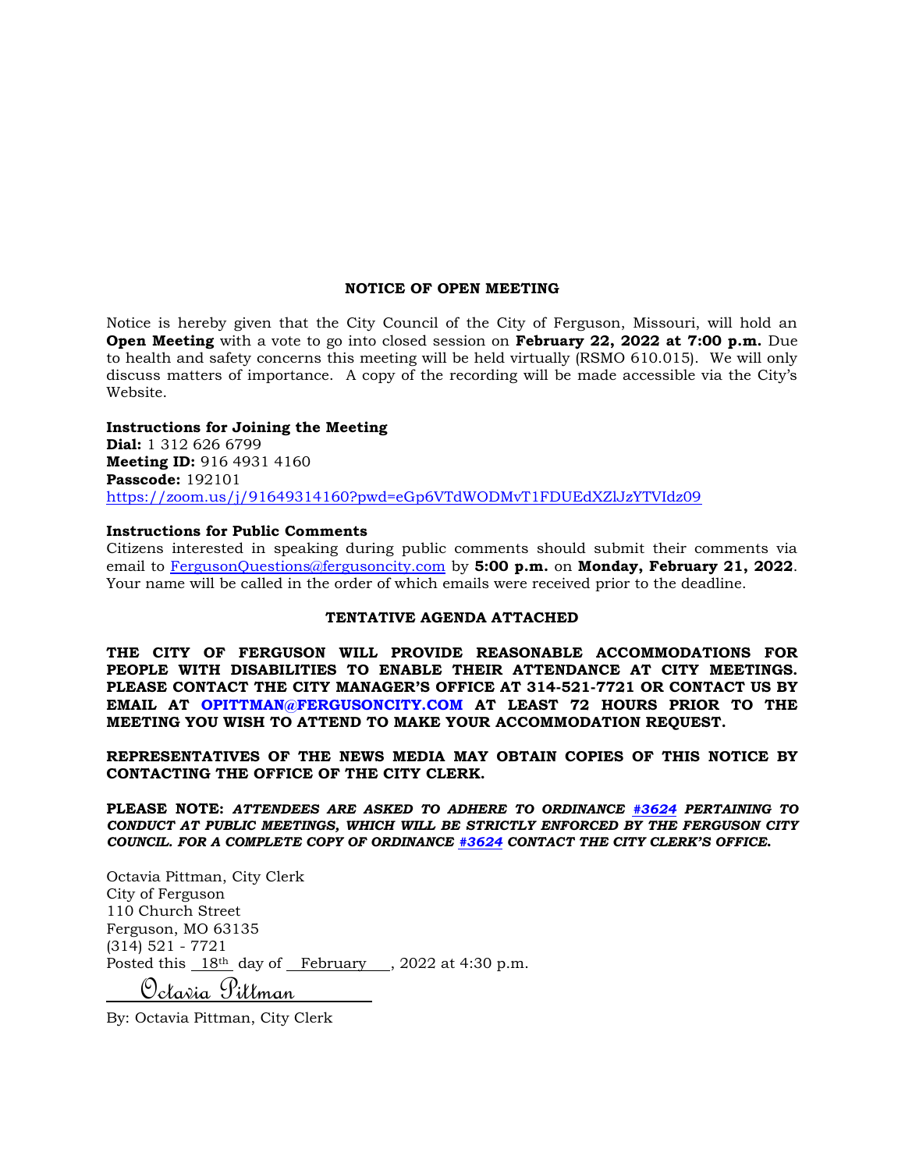#### **NOTICE OF OPEN MEETING**

Notice is hereby given that the City Council of the City of Ferguson, Missouri, will hold an **Open Meeting** with a vote to go into closed session on **February 22, 2022 at 7:00 p.m.** Due to health and safety concerns this meeting will be held virtually (RSMO 610.015). We will only discuss matters of importance. A copy of the recording will be made accessible via the City's Website.

### **Instructions for Joining the Meeting**

**Dial:** 1 312 626 6799 **Meeting ID:** 916 4931 4160 **Passcode:** 192101 <https://zoom.us/j/91649314160?pwd=eGp6VTdWODMvT1FDUEdXZlJzYTVIdz09>

#### **Instructions for Public Comments**

Citizens interested in speaking during public comments should submit their comments via email to [FergusonQuestions@fergusoncity.com](mailto:FergusonQuestions@fergusoncity.com) by **5:00 p.m.** on **Monday, February 21, 2022**. Your name will be called in the order of which emails were received prior to the deadline.

### **TENTATIVE AGENDA ATTACHED**

**THE CITY OF FERGUSON WILL PROVIDE REASONABLE ACCOMMODATIONS FOR PEOPLE WITH DISABILITIES TO ENABLE THEIR ATTENDANCE AT CITY MEETINGS. PLEASE CONTACT THE CITY MANAGER'S OFFICE AT 314-521-7721 OR CONTACT US BY EMAIL AT OPITTMAN@FERGUSONCITY.COM AT LEAST 72 HOURS PRIOR TO THE MEETING YOU WISH TO ATTEND TO MAKE YOUR ACCOMMODATION REQUEST.**

**REPRESENTATIVES OF THE NEWS MEDIA MAY OBTAIN COPIES OF THIS NOTICE BY CONTACTING THE OFFICE OF THE CITY CLERK.**

**PLEASE NOTE:** *ATTENDEES ARE ASKED TO ADHERE TO ORDINANCE [#3624](https://www.fergusoncity.com/DocumentCenter/View/3634/Ord-2016-3624-Amending-Chapt-2-addition-of-Sec-2-32-Conduct-at-Public-Mtgs) PERTAINING TO CONDUCT AT PUBLIC MEETINGS, WHICH WILL BE STRICTLY ENFORCED BY THE FERGUSON CITY COUNCIL. FOR A COMPLETE COPY OF ORDINANCE [#3624](https://www.fergusoncity.com/DocumentCenter/View/3634/Ord-2016-3624-Amending-Chapt-2-addition-of-Sec-2-32-Conduct-at-Public-Mtgs) CONTACT THE CITY CLERK'S OFFICE***.**

Octavia Pittman, City Clerk City of Ferguson 110 Church Street Ferguson, MO 63135 (314) 521 - 7721 Posted this 18<sup>th</sup> day of February, 2022 at 4:30 p.m. Octavia Pittman

By: Octavia Pittman, City Clerk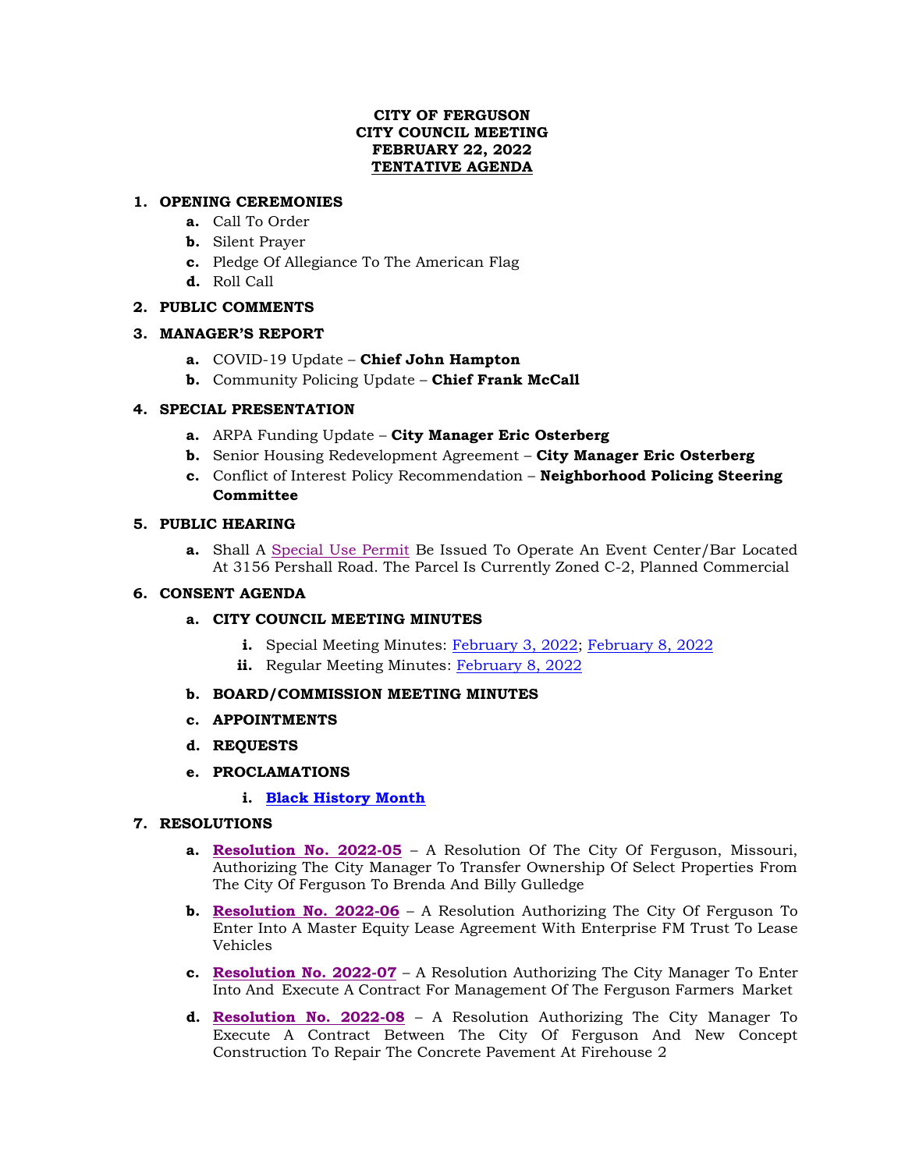# **CITY OF FERGUSON CITY COUNCIL MEETING FEBRUARY 22, 2022 TENTATIVE AGENDA**

# **1. OPENING CEREMONIES**

- **a.** Call To Order
- **b.** Silent Prayer
- **c.** Pledge Of Allegiance To The American Flag
- **d.** Roll Call

# **2. PUBLIC COMMENTS**

# **3. MANAGER'S REPORT**

- **a.** COVID-19 Update **Chief John Hampton**
- **b.** Community Policing Update **Chief Frank McCall**

# **4. SPECIAL PRESENTATION**

- **a.** ARPA Funding Update **City Manager Eric Osterberg**
- **b.** Senior Housing Redevelopment Agreement **City Manager Eric Osterberg**
- **c.** Conflict of Interest Policy Recommendation **Neighborhood Policing Steering Committee**

# **5. PUBLIC HEARING**

**a.** Shall A [Special Use Permit](https://www.fergusoncity.com/DocumentCenter/View/5610/3156-pershall-road-public-hearing-notice-for-02-22-2022-council-hearing) Be Issued To Operate An Event Center/Bar Located At 3156 Pershall Road. The Parcel Is Currently Zoned C-2, Planned Commercial

## **6. CONSENT AGENDA**

## **a. CITY COUNCIL MEETING MINUTES**

- **i.** Special Meeting Minutes: [February 3, 2022;](https://www.fergusoncity.com/DocumentCenter/View/5613/Council-special-meeting-minutes-020322) [February 8, 2022](https://www.fergusoncity.com/DocumentCenter/View/5614/Council-special-meeting-minutes-020822)
- **ii.** Regular Meeting Minutes: [February 8, 2022](https://www.fergusoncity.com/DocumentCenter/View/5612/Council-Meeting-Minutes-020822)

## **b. BOARD/COMMISSION MEETING MINUTES**

- **c. APPOINTMENTS**
- **d. REQUESTS**
- **e. PROCLAMATIONS** 
	- **i. [Black History Month](https://www.fergusoncity.com/DocumentCenter/View/5608/PROC---2022-February-as-Black-History-Month)**

## **7. RESOLUTIONS**

- **a. [Resolution No.](https://www.fergusoncity.com/DocumentCenter/View/5603/Resolution-No-2022-05-ASLP-155-Adelle) 2022-05** A Resolution Of The City Of Ferguson, Missouri, Authorizing The City Manager To Transfer Ownership Of Select Properties From The City Of Ferguson To Brenda And Billy Gulledge
- **b. [Resolution No. 2022-06](https://www.fergusoncity.com/DocumentCenter/View/5604/Resolution-No-2022-06-ENTERPRISE-LEASE-AGREEMENT1)** A Resolution Authorizing The City Of Ferguson To Enter Into A Master Equity Lease Agreement With Enterprise FM Trust To Lease Vehicles
- **c. [Resolution No. 2022-07](https://www.fergusoncity.com/DocumentCenter/View/5606/Resolution-No-2022-07-Farmers-Market)** A Resolution Authorizing The City Manager To Enter Into And Execute A Contract For Management Of The Ferguson Farmers Market
- **d. [Resolution No. 2022-08](https://www.fergusoncity.com/DocumentCenter/View/5607/Resolution-No-2202-08-new-concept-construction-firehouse-2)** A Resolution Authorizing The City Manager To Execute A Contract Between The City Of Ferguson And New Concept Construction To Repair The Concrete Pavement At Firehouse 2